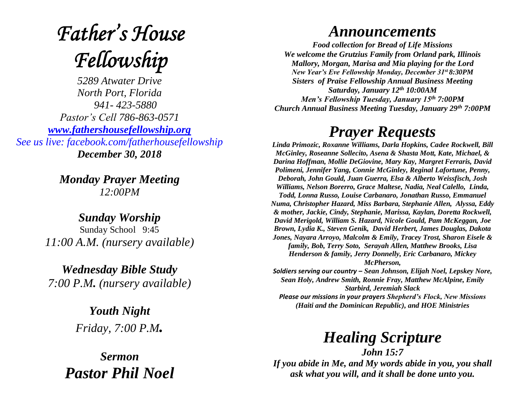## **Father's House** Fellowship

*5289 Atwater Drive North Port, Florida 941- 423-5880 Pastor's Cell 786-863-0571 [www.fathershousefellowship.org](http://www.fathershousefellowship.org/) See us live: facebook.com/fatherhousefellowship December 30, 2018*

> *Monday Prayer Meeting 12:00PM*

*Sunday Worship* Sunday School 9:45 *11:00 A.M. (nursery available)*

*Wednesday Bible Study 7:00 P.M. (nursery available)*

> *Youth Night Friday, 7:00 P.M.*

*Sermon Pastor Phil Noel*

## *Announcements*

*Food collection for Bread of Life Missions We welcome the Grutzius Family from Orland park, Illinois Mallory, Morgan, Marisa and Mia playing for the Lord New Year's Eve Fellowship Monday, December 31st 8:30PM Sisters of Praise Fellowship Annual Business Meeting Saturday, January 12th 10:00AM Men's Fellowship Tuesday, January 15th 7:00PM Church Annual Business Meeting Tuesday, January 29th 7:00PM*

## *Prayer Requests*

*Linda Primozic, Roxanne Williams, Darla Hopkins, Cadee Rockwell, Bill McGinley, Roseanne Sollecito, Asena & Shasta Mott, Kate, Michael, & Darina Hoffman, Mollie DeGiovine, Mary Kay, Margret Ferraris, David Polimeni, Jennifer Yang, Connie McGinley, Reginal Lafortune, Penny, Deborah, John Gould, Juan Guerra, Elsa & Alberto Weissfisch, Josh Williams, Nelson Borerro, Grace Maltese, Nadia, Neal Calello, Linda, Todd, Lonna Russo, Louise Carbanaro, Jonathan Russo, Emmanuel Numa, Christopher Hazard, Miss Barbara, Stephanie Allen, Alyssa, Eddy & mother, Jackie, Cindy, Stephanie, Marissa, Kaylan, Doretta Rockwell, David Merigold, William S. Hazard, Nicole Gould, Pam McKeggan, Joe Brown, Lydia K., Steven Genik, David Herbert, James Douglas, Dakota Jones, Nayara Arroyo, Malcolm & Emily, Tracey Trost, Sharon Eisele & family, Bob, Terry Soto, Serayah Allen, Matthew Brooks, Lisa Henderson & family, Jerry Donnelly, Eric Carbanaro, Mickey McPherson, Soldiers serving our country – Sean Johnson, Elijah Noel, Lepskey Nore, Sean Holy, Andrew Smith, Ronnie Fray, Matthew McAlpine, Emily Starbird, Jeremiah Slack Please our missions in your prayers Shepherd's Flock, New Missions* 

*(Haiti and the Dominican Republic), and HOE Ministries*

*Healing Scripture*

*John 15:7 If you abide in Me, and My words abide in you, you shall ask what you will, and it shall be done unto you.*